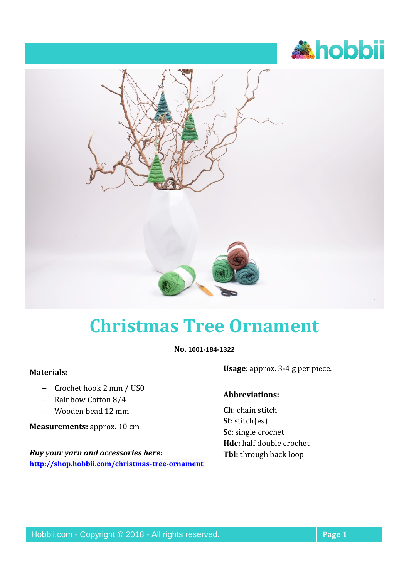



## **Christmas Tree Ornament**

**No. 1001-184-1322**

## **Materials:**

- − Crochet hook 2 mm / US0
- − Rainbow Cotton 8/4
- − Wooden bead 12 mm

**Measurements:** approx. 10 cm

*Buy your yarn and accessories here:* **<http://shop.hobbii.com/christmas-tree-ornament>** **Usage**: approx. 3-4 g per piece.

## **Abbreviations:**

**Ch**: chain stitch **St**: stitch(es) **Sc**: single crochet **Hdc:** half double crochet **Tbl:** through back loop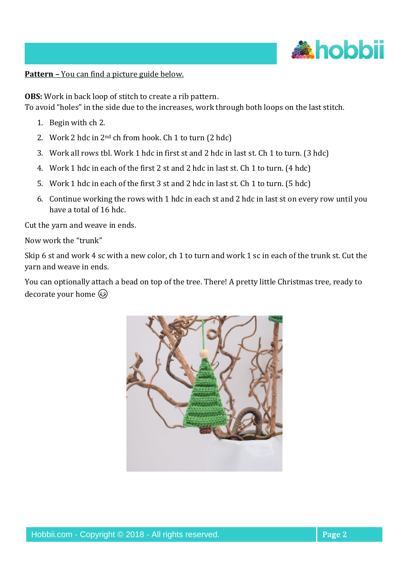

**Pattern –** You can find a picture guide below.

**OBS:** Work in back loop of stitch to create a rib pattern.

To avoid "holes" in the side due to the increases, work through both loops on the last stitch.

- 1. Begin with ch 2.
- 2. Work 2 hdc in 2nd ch from hook. Ch 1 to turn (2 hdc)
- 3. Work all rows tbl. Work 1 hdc in first st and 2 hdc in last st. Ch 1 to turn. (3 hdc)
- 4. Work 1 hdc in each of the first 2 st and 2 hdc in last st. Ch 1 to turn. (4 hdc)
- 5. Work 1 hdc in each of the first 3 st and 2 hdc in last st. Ch 1 to turn. (5 hdc)
- 6. Continue working the rows with 1 hdc in each st and 2 hdc in last st on every row until you have a total of 16 hdc.

Cut the yarn and weave in ends.

Now work the "trunk"

Skip 6 st and work 4 sc with a new color, ch 1 to turn and work 1 sc in each of the trunk st. Cut the yarn and weave in ends.

You can optionally attach a bead on top of the tree. There! A pretty little Christmas tree, ready to decorate your home  $\odot$ 

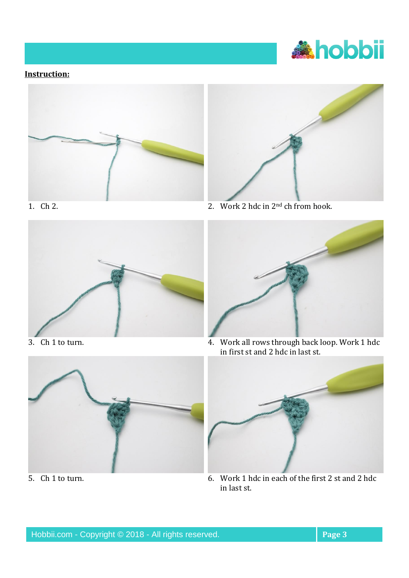

## **Instruction:**









in first st and 2 hdc in last st.





5. Ch 1 to turn. 6. Work 1 hdc in each of the first 2 st and 2 hdc in last st.

Hobbii.com - Copyright © 2018 - All rights reserved. **Page 3 Page 3**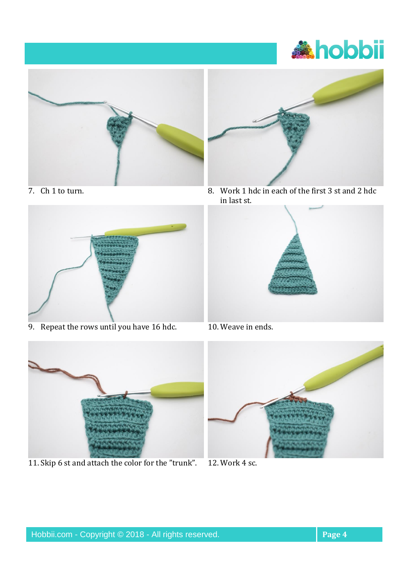





9. Repeat the rows until you have  $16$  hdc.  $\overline{10}$ . Weave in ends.



11. Skip 6 st and attach the color for the "trunk". 12. Work 4 sc.



7. Ch 1 to turn. 8. Work 1 hdc in each of the first 3 st and 2 hdc in last st.